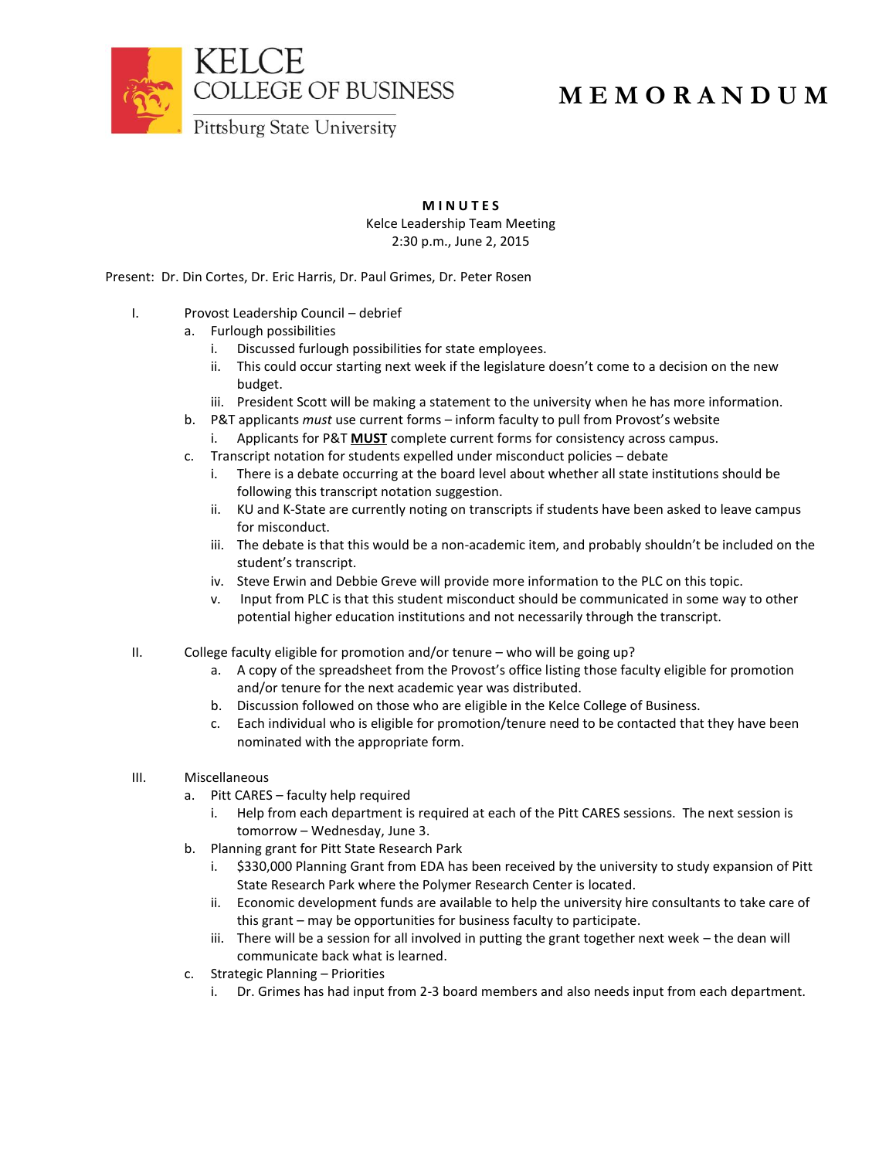

## **M E M O R A N D U M**

**M I N U T E S**

Kelce Leadership Team Meeting 2:30 p.m., June 2, 2015

Present: Dr. Din Cortes, Dr. Eric Harris, Dr. Paul Grimes, Dr. Peter Rosen

- I. Provost Leadership Council debrief
	- a. Furlough possibilities
		- i. Discussed furlough possibilities for state employees.
		- ii. This could occur starting next week if the legislature doesn't come to a decision on the new budget.
		- iii. President Scott will be making a statement to the university when he has more information.
	- b. P&T applicants *must* use current forms inform faculty to pull from Provost's website
		- i. Applicants for P&T **MUST** complete current forms for consistency across campus.
	- c. Transcript notation for students expelled under misconduct policies debate
		- i. There is a debate occurring at the board level about whether all state institutions should be following this transcript notation suggestion.
		- ii. KU and K-State are currently noting on transcripts if students have been asked to leave campus for misconduct.
		- iii. The debate is that this would be a non-academic item, and probably shouldn't be included on the student's transcript.
		- iv. Steve Erwin and Debbie Greve will provide more information to the PLC on this topic.
		- v. Input from PLC is that this student misconduct should be communicated in some way to other potential higher education institutions and not necessarily through the transcript.
- II. College faculty eligible for promotion and/or tenure who will be going up?
	- a. A copy of the spreadsheet from the Provost's office listing those faculty eligible for promotion and/or tenure for the next academic year was distributed.
	- b. Discussion followed on those who are eligible in the Kelce College of Business.
	- c. Each individual who is eligible for promotion/tenure need to be contacted that they have been nominated with the appropriate form.
- III. Miscellaneous
	- a. Pitt CARES faculty help required
		- i. Help from each department is required at each of the Pitt CARES sessions. The next session is tomorrow – Wednesday, June 3.
	- b. Planning grant for Pitt State Research Park
		- i. \$330,000 Planning Grant from EDA has been received by the university to study expansion of Pitt State Research Park where the Polymer Research Center is located.
		- ii. Economic development funds are available to help the university hire consultants to take care of this grant – may be opportunities for business faculty to participate.
		- iii. There will be a session for all involved in putting the grant together next week the dean will communicate back what is learned.
	- c. Strategic Planning Priorities
		- i. Dr. Grimes has had input from 2-3 board members and also needs input from each department.